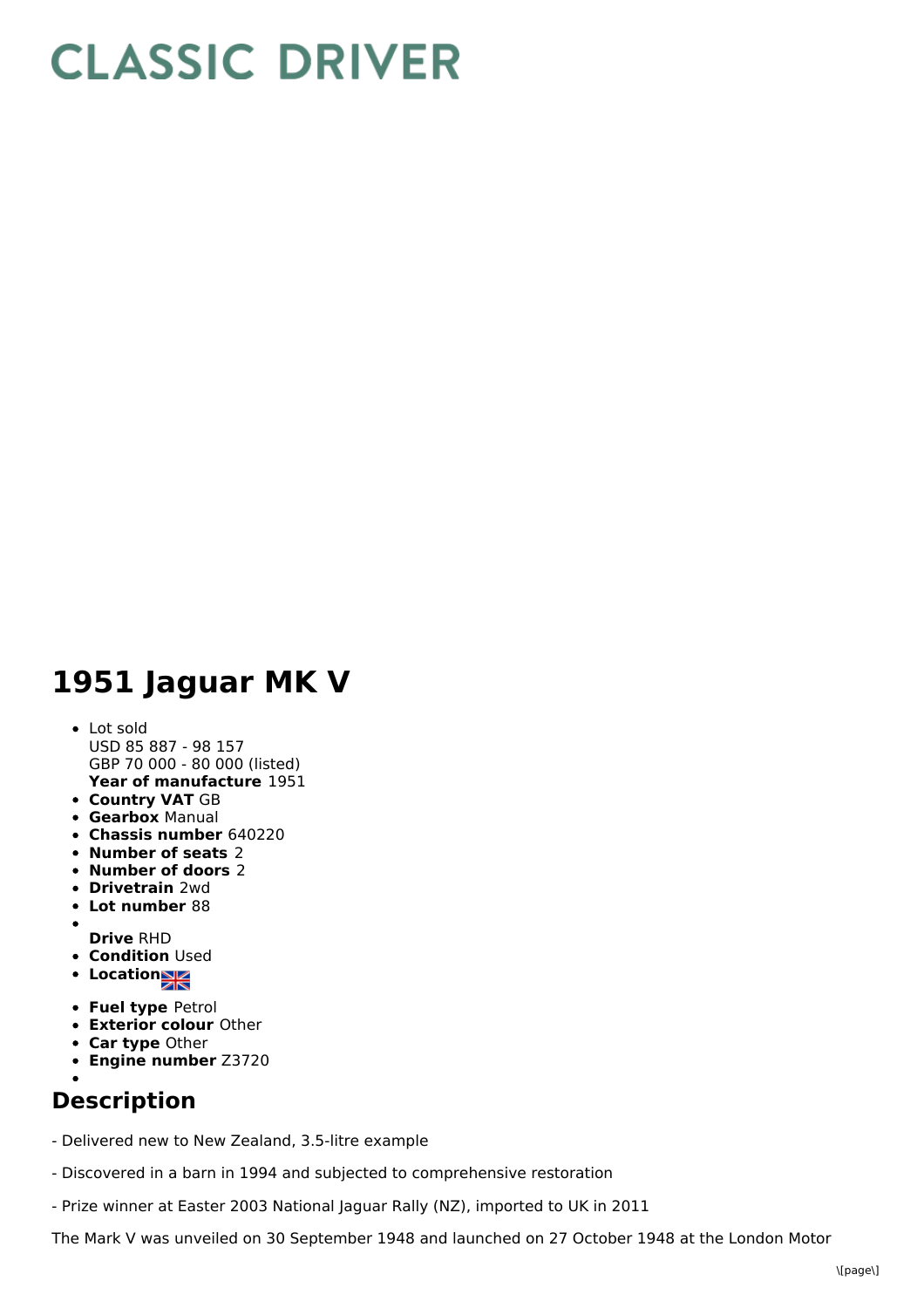## **CLASSIC DRIVER**

## **1951 Jaguar MK V**

## **Year of manufacture** 1951 Lot sold USD 85 887 - 98 157 GBP 70 000 - 80 000 (listed)

- **Country VAT** GB
- **Gearbox** Manual
- **Chassis number** 640220
- **Number of seats** 2
- **Number of doors** 2
- **Drivetrain** 2wd
- **Lot number** 88
- $\bullet$ **Drive** RHD
- **Condition Used**
- **Location**
- **Fuel type** Petrol
- **Exterior colour** Other
- **Car type** Other
- **Engine number** Z3720
- 

## **Description**

- Delivered new to New Zealand, 3.5-litre example
- Discovered in a barn in 1994 and subjected to comprehensive restoration
- Prize winner at Easter 2003 National Jaguar Rally (NZ), imported to UK in 2011

The Mark V was unveiled on 30 September 1948 and launched on 27 October 1948 at the London Motor